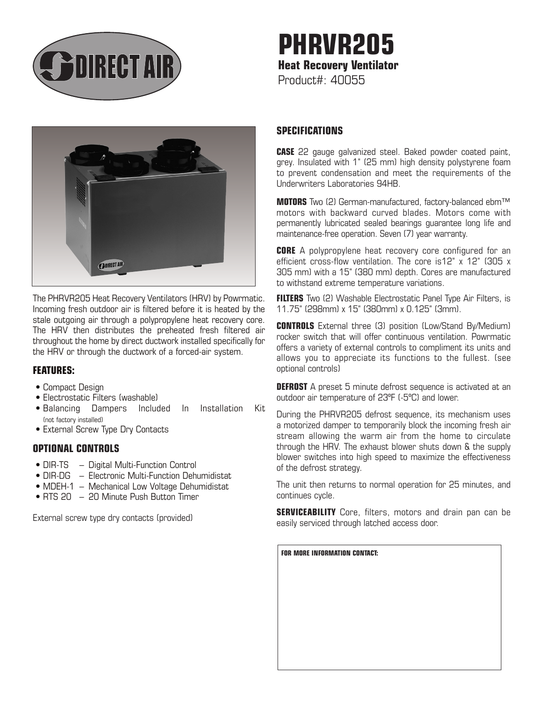

# **PHRVR205 Heat Recovery Ventilator**  Product#: 40055



The PHRVR205 Heat Recovery Ventilators (HRV) by Powrmatic. Incoming fresh outdoor air is filtered before it is heated by the stale outgoing air through a polypropylene heat recovery core. The HRV then distributes the preheated fresh filtered air throughout the home by direct ductwork installed specifically for the HRV or through the ductwork of a forced-air system.

## **FEATURES:**

- Compact Design
- Electrostatic Filters (washable)
- Balancing Dampers Included In Installation Kit (not factory installed)
- External Screw Type Dry Contacts

## **OPTIONAL CONTROLS**

- DIR-TS Digital Multi-Function Control
- DIR-DG Electronic Multi-Function Dehumidistat
- MDEH-1 Mechanical Low Voltage Dehumidistat
- RTS 20 20 Minute Push Button Timer

External screw type dry contacts (provided)

# **SPECIFICATIONS**

**CASE** 22 gauge galvanized steel. Baked powder coated paint, grey. Insulated with 1" (25 mm) high density polystyrene foam to prevent condensation and meet the requirements of the Underwriters Laboratories 94HB.

**MOTORS** Two (2) German-manufactured, factory-balanced ebm™ motors with backward curved blades. Motors come with permanently lubricated sealed bearings guarantee long life and maintenance-free operation. Seven (7) year warranty.

**CORE** A polypropylene heat recovery core configured for an efficient cross-flow ventilation. The core is12" x 12" (305 x 305 mm) with a 15" (380 mm) depth. Cores are manufactured to withstand extreme temperature variations.

**FILTERS** Two (2) Washable Electrostatic Panel Type Air Filters, is 11.75" (298mm) x 15" (380mm) x 0.125" (3mm).

**CONTROLS** External three (3) position (Low/Stand By/Medium) rocker switch that will offer continuous ventilation. Powrmatic offers a variety of external controls to compliment its units and allows you to appreciate its functions to the fullest. (see optional controls)

**DEFROST** A preset 5 minute defrost sequence is activated at an outdoor air temperature of 23ºF (-5ºC) and lower.

During the PHRVR205 defrost sequence, its mechanism uses a motorized damper to temporarily block the incoming fresh air stream allowing the warm air from the home to circulate through the HRV. The exhaust blower shuts down & the supply blower switches into high speed to maximize the effectiveness of the defrost strategy.

The unit then returns to normal operation for 25 minutes, and continues cycle.

**SERVICEABILITY** Core, filters, motors and drain pan can be easily serviced through latched access door.

**FOR MORE INFORMATION CONTACT:**